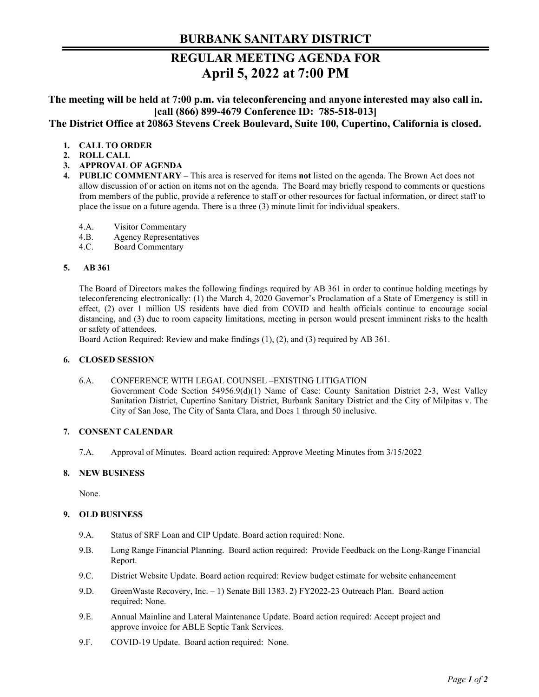# **REGULAR MEETING AGENDA FOR April 5, 2022 at 7:00 PM**

**The meeting will be held at 7:00 p.m. via teleconferencing and anyone interested may also call in. [call (866) 899-4679 Conference ID: 785-518-013] The District Office at 20863 Stevens Creek Boulevard, Suite 100, Cupertino, California is closed.**

# **1. CALL TO ORDER**

- **2. ROLL CALL**
- **3. APPROVAL OF AGENDA**
- **4. PUBLIC COMMENTARY**  This area is reserved for items **not** listed on the agenda. The Brown Act does not allow discussion of or action on items not on the agenda. The Board may briefly respond to comments or questions from members of the public, provide a reference to staff or other resources for factual information, or direct staff to place the issue on a future agenda. There is a three (3) minute limit for individual speakers.
	- 4.A. Visitor Commentary
	- 4.B. Agency Representatives
	- 4.C. Board Commentary

### **5. AB 361**

The Board of Directors makes the following findings required by AB 361 in order to continue holding meetings by teleconferencing electronically: (1) the March 4, 2020 Governor's Proclamation of a State of Emergency is still in effect, (2) over 1 million US residents have died from COVID and health officials continue to encourage social distancing, and (3) due to room capacity limitations, meeting in person would present imminent risks to the health or safety of attendees.

Board Action Required: Review and make findings (1), (2), and (3) required by AB 361.

## **6. CLOSED SESSION**

### 6.A. CONFERENCE WITH LEGAL COUNSEL –EXISTING LITIGATION

Government Code Section 54956.9(d)(1) Name of Case: County Sanitation District 2-3, West Valley Sanitation District, Cupertino Sanitary District, Burbank Sanitary District and the City of Milpitas v. The City of San Jose, The City of Santa Clara, and Does 1 through 50 inclusive.

# **7. CONSENT CALENDAR**

7.A. Approval of Minutes. Board action required: Approve Meeting Minutes from 3/15/2022

### **8. NEW BUSINESS**

None.

### **9. OLD BUSINESS**

- 9.A. Status of SRF Loan and CIP Update. Board action required: None.
- 9.B. Long Range Financial Planning. Board action required: Provide Feedback on the Long-Range Financial Report.
- 9.C. District Website Update. Board action required: Review budget estimate for website enhancement
- 9.D. GreenWaste Recovery, Inc. 1) Senate Bill 1383. 2) FY2022-23 Outreach Plan. Board action required: None.
- 9.E. Annual Mainline and Lateral Maintenance Update. Board action required: Accept project and approve invoice for ABLE Septic Tank Services.
- 9.F. COVID-19 Update. Board action required: None.